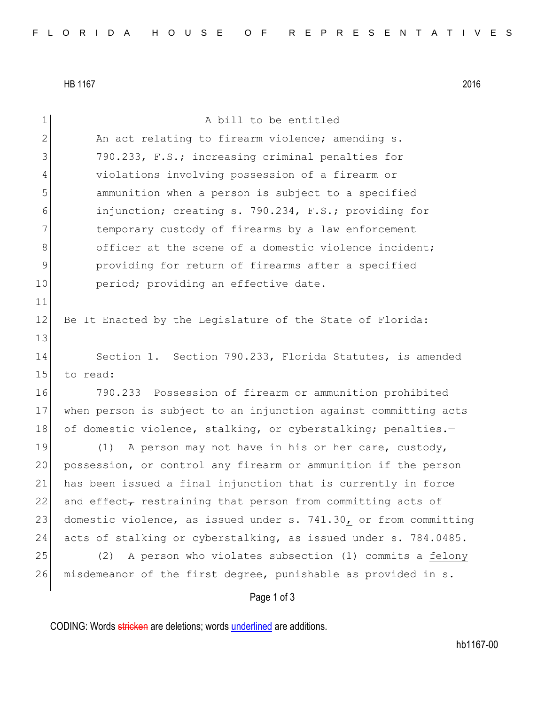HB 1167 2016

| $\mathbf 1$    | A bill to be entitled                                            |
|----------------|------------------------------------------------------------------|
| $\overline{2}$ | An act relating to firearm violence; amending s.                 |
| 3              | 790.233, F.S.; increasing criminal penalties for                 |
| 4              | violations involving possession of a firearm or                  |
| 5              | ammunition when a person is subject to a specified               |
| 6              | injunction; creating s. 790.234, F.S.; providing for             |
| 7              | temporary custody of firearms by a law enforcement               |
| 8              | officer at the scene of a domestic violence incident;            |
| 9              | providing for return of firearms after a specified               |
| 10             | period; providing an effective date.                             |
| 11             |                                                                  |
| 12             | Be It Enacted by the Legislature of the State of Florida:        |
| 13             |                                                                  |
| 14             | Section 1. Section 790.233, Florida Statutes, is amended         |
| 15             | to read:                                                         |
| 16             | 790.233 Possession of firearm or ammunition prohibited           |
| 17             | when person is subject to an injunction against committing acts  |
| 18             | of domestic violence, stalking, or cyberstalking; penalties.-    |
| 19             | A person may not have in his or her care, custody,<br>(1)        |
| 20             | possession, or control any firearm or ammunition if the person   |
| 21             | has been issued a final injunction that is currently in force    |
| 22             | and effect, restraining that person from committing acts of      |
| 23             | domestic violence, as issued under s. 741.30, or from committing |
| 24             | acts of stalking or cyberstalking, as issued under s. 784.0485.  |
| 25             | A person who violates subsection (1) commits a felony<br>(2)     |
| 26             | misdemeanor of the first degree, punishable as provided in s.    |
|                | Page 1 of 3                                                      |

CODING: Words stricken are deletions; words underlined are additions.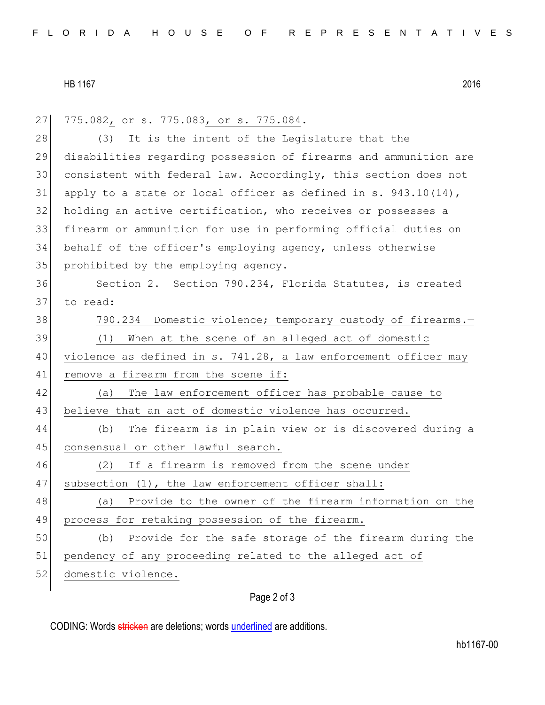## HB 1167 2016

27 775.082, or s. 775.083, or s. 775.084. 28 (3) It is the intent of the Legislature that the 29 disabilities regarding possession of firearms and ammunition are 30 consistent with federal law. Accordingly, this section does not 31 apply to a state or local officer as defined in s.  $943.10(14)$ , 32 holding an active certification, who receives or possesses a 33 firearm or ammunition for use in performing official duties on 34 behalf of the officer's employing agency, unless otherwise 35 prohibited by the employing agency. 36 Section 2. Section 790.234, Florida Statutes, is created 37 to read: 38 790.234 Domestic violence; temporary custody of firearms. 39 (1) When at the scene of an alleged act of domestic 40 violence as defined in s. 741.28, a law enforcement officer may 41 remove a firearm from the scene if: 42 (a) The law enforcement officer has probable cause to 43 believe that an act of domestic violence has occurred. 44 (b) The firearm is in plain view or is discovered during a 45 consensual or other lawful search. 46 (2) If a firearm is removed from the scene under 47 subsection (1), the law enforcement officer shall: 48 (a) Provide to the owner of the firearm information on the 49 process for retaking possession of the firearm. 50 (b) Provide for the safe storage of the firearm during the 51 pendency of any proceeding related to the alleged act of 52 domestic violence.

## Page 2 of 3

CODING: Words stricken are deletions; words underlined are additions.